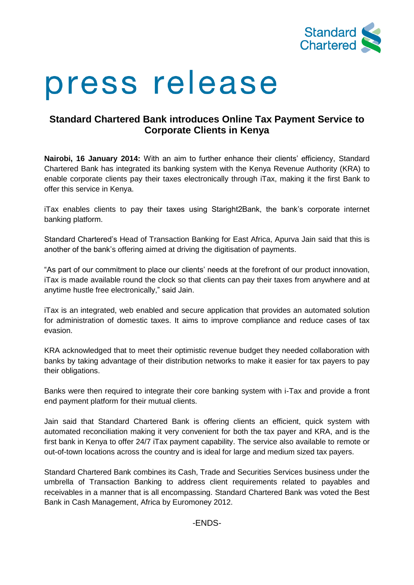

# press release

## **Standard Chartered Bank introduces Online Tax Payment Service to Corporate Clients in Kenya**

**Nairobi, 16 January 2014:** With an aim to further enhance their clients' efficiency, Standard Chartered Bank has integrated its banking system with the Kenya Revenue Authority (KRA) to enable corporate clients pay their taxes electronically through iTax, making it the first Bank to offer this service in Kenya.

iTax enables clients to pay their taxes using Staright2Bank, the bank's corporate internet banking platform.

Standard Chartered's Head of Transaction Banking for East Africa, Apurva Jain said that this is another of the bank's offering aimed at driving the digitisation of payments.

"As part of our commitment to place our clients' needs at the forefront of our product innovation, iTax is made available round the clock so that clients can pay their taxes from anywhere and at anytime hustle free electronically," said Jain.

iTax is an integrated, web enabled and secure application that provides an automated solution for administration of domestic taxes. It aims to improve compliance and reduce cases of tax evasion.

KRA acknowledged that to meet their optimistic revenue budget they needed collaboration with banks by taking advantage of their distribution networks to make it easier for tax payers to pay their obligations.

Banks were then required to integrate their core banking system with i-Tax and provide a front end payment platform for their mutual clients.

Jain said that Standard Chartered Bank is offering clients an efficient, quick system with automated reconciliation making it very convenient for both the tax payer and KRA, and is the first bank in Kenya to offer 24/7 iTax payment capability. The service also available to remote or out-of-town locations across the country and is ideal for large and medium sized tax payers.

Standard Chartered Bank combines its Cash, Trade and Securities Services business under the umbrella of Transaction Banking to address client requirements related to payables and receivables in a manner that is all encompassing. Standard Chartered Bank was voted the Best Bank in Cash Management, Africa by Euromoney 2012.

-ENDS-